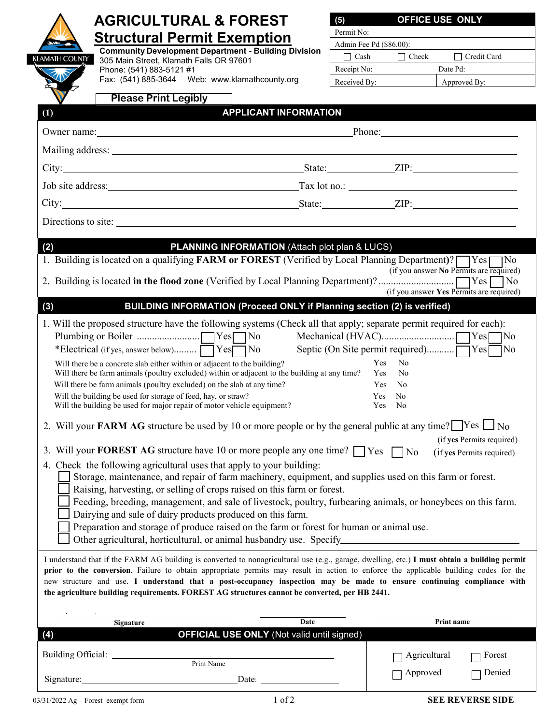| <b>AGRICULTURAL &amp; FOREST</b>                                                                                                                                                                                                                                                                                                                                                                                                                                     | OFFICE USE ONLY<br>(5)                                                        |
|----------------------------------------------------------------------------------------------------------------------------------------------------------------------------------------------------------------------------------------------------------------------------------------------------------------------------------------------------------------------------------------------------------------------------------------------------------------------|-------------------------------------------------------------------------------|
| <b>Structural Permit Exemption</b>                                                                                                                                                                                                                                                                                                                                                                                                                                   | Permit No:                                                                    |
| <b>Community Development Department - Building Division</b>                                                                                                                                                                                                                                                                                                                                                                                                          | Admin Fee Pd (\$86.00):                                                       |
| (LAMATH COUNTY<br>305 Main Street, Klamath Falls OR 97601<br>Phone: (541) 883-5121 #1                                                                                                                                                                                                                                                                                                                                                                                | $\prod$ Credit Card<br>$\Box$ Cash<br>$\Box$ Check<br>Receipt No:<br>Date Pd: |
| Fax: (541) 885-3644 Web: www.klamathcounty.org                                                                                                                                                                                                                                                                                                                                                                                                                       | Received By:<br>Approved By:                                                  |
| <b>Please Print Legibly</b>                                                                                                                                                                                                                                                                                                                                                                                                                                          |                                                                               |
| <b>APPLICANT INFORMATION</b><br>(1)                                                                                                                                                                                                                                                                                                                                                                                                                                  |                                                                               |
| Phone: 2008 and 2008 and 2008 and 2008 and 2008 and 2008 and 2008 and 2008 and 2008 and 2008 and 2008 and 2008 and 2008 and 2008 and 2008 and 2008 and 2008 and 2008 and 2008 and 2008 and 2008 and 2008 and 2008 and 2008 and<br>Owner name: <u>contained</u> and the contained a series of the contained and the contained and contained a series of the contained and contained a series of the contained and contained a series of the contact of the contact of |                                                                               |
|                                                                                                                                                                                                                                                                                                                                                                                                                                                                      |                                                                               |
|                                                                                                                                                                                                                                                                                                                                                                                                                                                                      |                                                                               |
|                                                                                                                                                                                                                                                                                                                                                                                                                                                                      |                                                                               |
|                                                                                                                                                                                                                                                                                                                                                                                                                                                                      |                                                                               |
| Directions to site:                                                                                                                                                                                                                                                                                                                                                                                                                                                  |                                                                               |
|                                                                                                                                                                                                                                                                                                                                                                                                                                                                      |                                                                               |
| <b>PLANNING INFORMATION (Attach plot plan &amp; LUCS)</b><br>(2)                                                                                                                                                                                                                                                                                                                                                                                                     |                                                                               |
| 1. Building is located on a qualifying FARM or FOREST (Verified by Local Planning Department)? PYes No                                                                                                                                                                                                                                                                                                                                                               | (if you answer No Permits are required)                                       |
|                                                                                                                                                                                                                                                                                                                                                                                                                                                                      |                                                                               |
|                                                                                                                                                                                                                                                                                                                                                                                                                                                                      | (if you answer Yes Permits are required)                                      |
| BUILDING INFORMATION (Proceed ONLY if Planning section (2) is verified)<br>(3)                                                                                                                                                                                                                                                                                                                                                                                       |                                                                               |
| 1. Will the proposed structure have the following systems (Check all that apply; separate permit required for each):                                                                                                                                                                                                                                                                                                                                                 |                                                                               |
| *Electrical (if yes, answer below) TYesTNo                                                                                                                                                                                                                                                                                                                                                                                                                           |                                                                               |
| <b>Yes</b><br>No<br>Will there be a concrete slab either within or adjacent to the building?<br>Will there be farm animals (poultry excluded) within or adjacent to the building at any time?                                                                                                                                                                                                                                                                        |                                                                               |
| Will there be farm animals (poultry excluded) on the slab at any time?                                                                                                                                                                                                                                                                                                                                                                                               | Yes<br>No<br><b>Yes</b><br>No                                                 |
| Will the building be used for storage of feed, hay, or straw?                                                                                                                                                                                                                                                                                                                                                                                                        | Yes<br>No                                                                     |
| Will the building be used for major repair of motor vehicle equipment?<br>Yes<br>No.                                                                                                                                                                                                                                                                                                                                                                                 |                                                                               |
| 2. Will your FARM AG structure be used by 10 or more people or by the general public at any time? $\Box$ Yes $\Box$ No                                                                                                                                                                                                                                                                                                                                               |                                                                               |
| 3. Will your <b>FOREST AG</b> structure have 10 or more people any one time? $\Box$ Yes $\Box$ No                                                                                                                                                                                                                                                                                                                                                                    | (if yes Permits required)<br>(if yes Permits required)                        |
| 4. Check the following agricultural uses that apply to your building:                                                                                                                                                                                                                                                                                                                                                                                                |                                                                               |
| Storage, maintenance, and repair of farm machinery, equipment, and supplies used on this farm or forest.                                                                                                                                                                                                                                                                                                                                                             |                                                                               |
| Raising, harvesting, or selling of crops raised on this farm or forest.                                                                                                                                                                                                                                                                                                                                                                                              |                                                                               |
| Feeding, breeding, management, and sale of livestock, poultry, furbearing animals, or honeybees on this farm.<br>Dairying and sale of dairy products produced on this farm.                                                                                                                                                                                                                                                                                          |                                                                               |
| Preparation and storage of produce raised on the farm or forest for human or animal use.                                                                                                                                                                                                                                                                                                                                                                             |                                                                               |
| Other agricultural, horticultural, or animal husbandry use. Specify______________                                                                                                                                                                                                                                                                                                                                                                                    |                                                                               |
| I understand that if the FARM AG building is converted to nonagricultural use (e.g., garage, dwelling, etc.) I must obtain a building permit                                                                                                                                                                                                                                                                                                                         |                                                                               |
| prior to the conversion. Failure to obtain appropriate permits may result in action to enforce the applicable building codes for the                                                                                                                                                                                                                                                                                                                                 |                                                                               |
| new structure and use. I understand that a post-occupancy inspection may be made to ensure continuing compliance with                                                                                                                                                                                                                                                                                                                                                |                                                                               |
| the agriculture building requirements. FOREST AG structures cannot be converted, per HB 2441.                                                                                                                                                                                                                                                                                                                                                                        |                                                                               |
| Date                                                                                                                                                                                                                                                                                                                                                                                                                                                                 | Print name                                                                    |
| Signature<br><b>OFFICIAL USE ONLY (Not valid until signed)</b><br>(4)                                                                                                                                                                                                                                                                                                                                                                                                |                                                                               |
|                                                                                                                                                                                                                                                                                                                                                                                                                                                                      |                                                                               |
| Print Name                                                                                                                                                                                                                                                                                                                                                                                                                                                           | Agricultural<br>Forest                                                        |
| Signature: Date: Date:                                                                                                                                                                                                                                                                                                                                                                                                                                               | Approved<br>Denied                                                            |
|                                                                                                                                                                                                                                                                                                                                                                                                                                                                      |                                                                               |

 $\mathsf{l}$